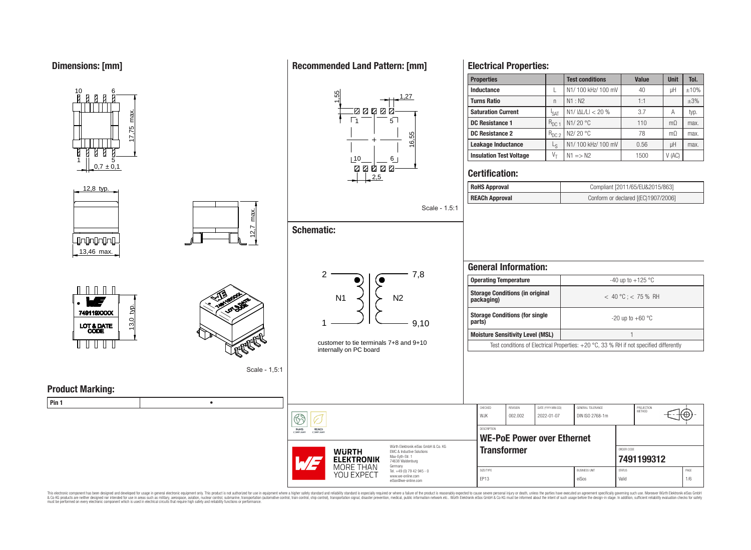

This electronic component has been designed and developed for usage in general electronic equipment only. This product is not authorized for use in equipment where a higher safety standard and reliability standard is espec & Ook product a label and the membed of the seasuch as marked and as which such a membed and the such assume that income in the seasuch and the simulation and the such assume that include to the such a membed and the such

## **Recommended Land Pattern: [mm]**

**Electrical Properties:**

**packaging)** < 40 °C ; < 75 % RH

**parts)** -20 up to +60 °C

PROJECTION

Έ

**[7491199312](https://www.we-online.com/catalog/en/article/7491199312)**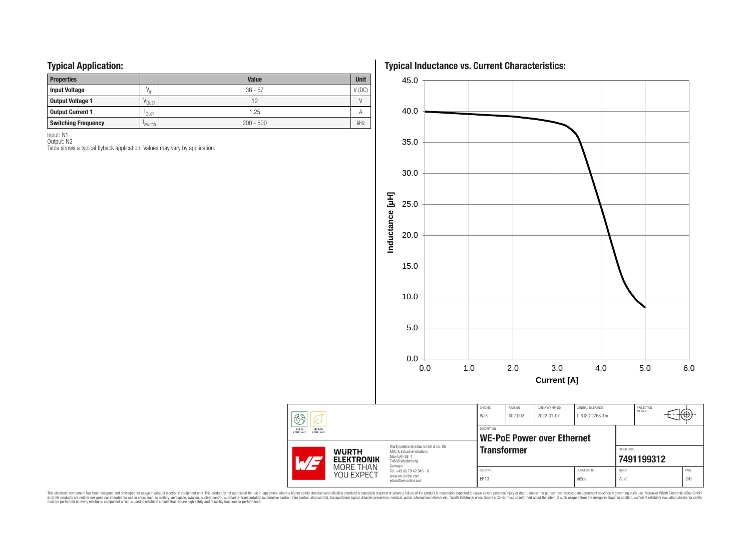## **Typical Application:**

| . .<br>. .                 |                     |                                         |          |  |  |
|----------------------------|---------------------|-----------------------------------------|----------|--|--|
| <b>Properties</b>          |                     | <b>Value</b><br>$36 - 57$<br>12<br>1.25 |          |  |  |
| <b>Input Voltage</b>       | $V_{\text{in}}$     |                                         | $V$ (DC) |  |  |
| <b>Output Voltage 1</b>    | V <sub>Out1</sub>   |                                         |          |  |  |
| <b>Output Current 1</b>    | <sup>'</sup> Out1   |                                         |          |  |  |
| <b>Switching Frequency</b> | <sup>I</sup> switch | $200 - 500$                             | kHz      |  |  |

Input: N1

Output: N2 Table shows a typical flyback application. Values may vary by application. **Typical Inductance vs. Current Characteristics:**



This electronic component has been designed and developed for usage in general electronic equipment only. This product is not authorized for subserved requipment where a higher selection equipment where a higher selection

 $\circled{f}$ 

**RoHS**<br>COMPLIANT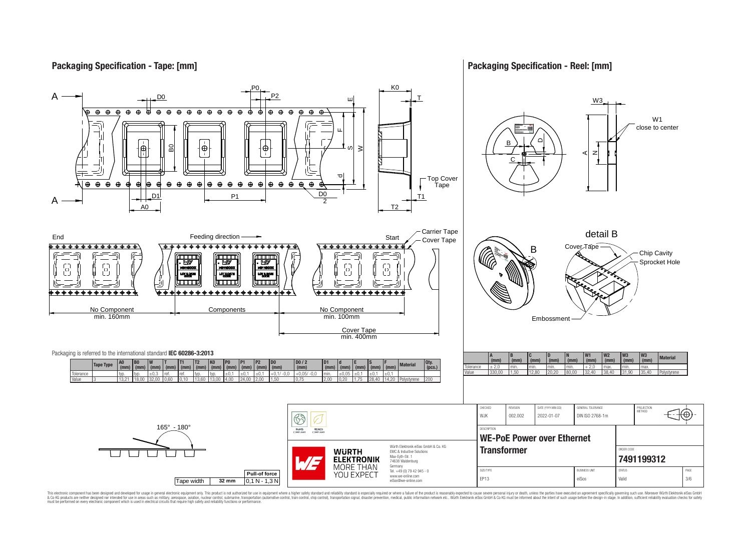## **Packaging Specification - Tape: [mm]**

### **Packaging Specification - Reel: [mm]**



This electronic component has been designed and developed for usage in general electronic equipment only. This product is not authorized for use in equipment where a higher safely standard and reliability standard si espec & Ook product a label and the membed of the seasuch as marked and as which such a membed and the such assume that income in the seasuch and the simulation and the such assume that include to the such a membed and the such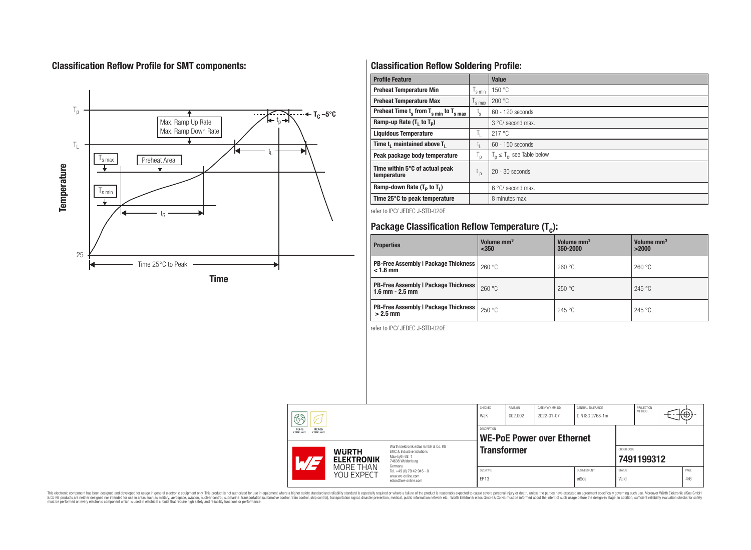# **Classification Reflow Profile for SMT components:**



# **Classification Reflow Soldering Profile:**

| <b>Profile Feature</b>                              |                           | <b>Value</b>                     |
|-----------------------------------------------------|---------------------------|----------------------------------|
| <b>Preheat Temperature Min</b>                      | s min                     | 150 °C                           |
| <b>Preheat Temperature Max</b>                      | <sup>I</sup> s max        | 200 °C                           |
| Preheat Time $t_s$ from $T_{s,min}$ to $T_{s,max}$  | $t_{\rm s}$               | $60 - 120$ seconds               |
| Ramp-up Rate $(T_1$ to $T_p$ )                      |                           | 3 °C/ second max.                |
| <b>Liquidous Temperature</b>                        | Ъ.                        | 217°C                            |
| Time t <sub>1</sub> maintained above T <sub>1</sub> | t,                        | $60 - 150$ seconds               |
| Peak package body temperature                       | $\mathsf{I}_{\mathsf{D}}$ | $T_p \leq T_c$ , see Table below |
| Time within 5°C of actual peak<br>temperature       | t <sub>p</sub>            | $20 - 30$ seconds                |
| Ramp-down Rate $(T_p$ to $T_1$ )                    |                           | 6 °C/ second max.                |
| Time 25°C to peak temperature                       |                           | 8 minutes max.                   |

refer to IPC/ JEDEC J-STD-020E

# **Package Classification Reflow Temperature (T<sup>c</sup> ):**

| <b>Properties</b>                                                    | Volume mm <sup>3</sup><br>< 350 | Volume mm <sup>3</sup><br>350-2000 | Volume mm <sup>3</sup><br>>2000 |  |
|----------------------------------------------------------------------|---------------------------------|------------------------------------|---------------------------------|--|
| <b>PB-Free Assembly   Package Thickness  </b><br>$< 1.6$ mm          | 260 °C                          | 260 °C                             | 260 °C                          |  |
| <b>PB-Free Assembly   Package Thickness  </b><br>$1.6$ mm $- 2.5$ mm | 260 °C                          | 250 °C                             | 245 °C                          |  |
| <b>PB-Free Assembly   Package Thickness  </b><br>$>2.5$ mm           | 250 °C                          | 245 °C                             | 245 °C                          |  |

refer to IPC/ JEDEC J-STD-020E

| ନ୍ଦୁ                                                 |                                   |                                                                                                                     | CHECKED<br>W.JK    | REVISION<br>002.002 | DATE (YYYY-MM-DD)<br>2022-01-07 | <b>GENERAL TOLERANCE</b><br>DIN ISO 2768-1m |                        | PROJECTION<br><b>METHOD</b> |  | Ή⊎,         |
|------------------------------------------------------|-----------------------------------|---------------------------------------------------------------------------------------------------------------------|--------------------|---------------------|---------------------------------|---------------------------------------------|------------------------|-----------------------------|--|-------------|
| RoHS<br><b>REACH</b><br>COMPLIANT<br><b>COMPLIAN</b> |                                   | <b>DESCRIPTION</b><br><b>WE-PoE Power over Ethernet</b>                                                             |                    |                     |                                 |                                             |                        |                             |  |             |
| $\sim$ $\prime$                                      | <b>WURTH</b><br><b>ELEKTRONIK</b> | Würth Elektronik eiSos GmbH & Co. KG<br>EMC & Inductive Solutions<br>Max-Evth-Str. 1<br>74638 Waldenburg<br>Germany | <b>Transformer</b> |                     |                                 |                                             |                        | ORDER CODE<br>7491199312    |  |             |
|                                                      | MORE THAN<br>YOU EXPECT           | Tel. +49 (0) 79 42 945 - 0<br>www.we-online.com<br>eiSos@we-online.com                                              | SIZE/TYPE<br>EP13  |                     |                                 | <b>BUSINESS UNIT</b><br>eiSos               | <b>STATUS</b><br>Valid |                             |  | PAGE<br>4/6 |

This electronic component has been designed and developed for usage in general electronic equipment only. This product is not authorized for subserved requipment where a higher selection equipment where a higher selection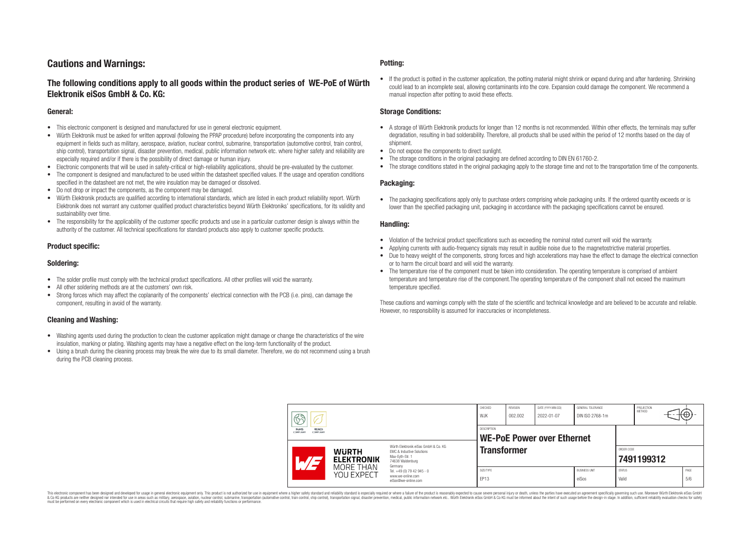## **Cautions and Warnings:**

## **The following conditions apply to all goods within the product series of WE-PoE of Würth Elektronik eiSos GmbH & Co. KG:**

#### **General:**

- This electronic component is designed and manufactured for use in general electronic equipment.
- Würth Elektronik must be asked for written approval (following the PPAP procedure) before incorporating the components into any equipment in fields such as military, aerospace, aviation, nuclear control, submarine, transportation (automotive control, train control, ship control), transportation signal, disaster prevention, medical, public information network etc. where higher safety and reliability are especially required and/or if there is the possibility of direct damage or human injury.
- Electronic components that will be used in safety-critical or high-reliability applications, should be pre-evaluated by the customer.
- The component is designed and manufactured to be used within the datasheet specified values. If the usage and operation conditions specified in the datasheet are not met, the wire insulation may be damaged or dissolved.
- Do not drop or impact the components, as the component may be damaged.
- Würth Elektronik products are qualified according to international standards, which are listed in each product reliability report. Würth Elektronik does not warrant any customer qualified product characteristics beyond Würth Elektroniks' specifications, for its validity and sustainability over time.
- The responsibility for the applicability of the customer specific products and use in a particular customer design is always within the authority of the customer. All technical specifications for standard products also apply to customer specific products.

#### **Product specific:**

#### **Soldering:**

- The solder profile must comply with the technical product specifications. All other profiles will void the warranty.
- All other soldering methods are at the customers' own risk.
- Strong forces which may affect the coplanarity of the components' electrical connection with the PCB (i.e. pins), can damage the component, resulting in avoid of the warranty.

#### **Cleaning and Washing:**

- Washing agents used during the production to clean the customer application might damage or change the characteristics of the wire insulation, marking or plating. Washing agents may have a negative effect on the long-term functionality of the product.
- Using a brush during the cleaning process may break the wire due to its small diameter. Therefore, we do not recommend using a brush during the PCB cleaning process.

#### **Potting:**

• If the product is potted in the customer application, the potting material might shrink or expand during and after hardening. Shrinking could lead to an incomplete seal, allowing contaminants into the core. Expansion could damage the component. We recommend a manual inspection after potting to avoid these effects.

#### **Storage Conditions:**

- A storage of Würth Elektronik products for longer than 12 months is not recommended. Within other effects, the terminals may suffer degradation, resulting in bad solderability. Therefore, all products shall be used within the period of 12 months based on the day of shipment.
- Do not expose the components to direct sunlight.
- The storage conditions in the original packaging are defined according to DIN EN 61760-2.
- The storage conditions stated in the original packaging apply to the storage time and not to the transportation time of the components.

#### **Packaging:**

• The packaging specifications apply only to purchase orders comprising whole packaging units. If the ordered quantity exceeds or is lower than the specified packaging unit, packaging in accordance with the packaging specifications cannot be ensured.

#### **Handling:**

- Violation of the technical product specifications such as exceeding the nominal rated current will void the warranty.
- Applying currents with audio-frequency signals may result in audible noise due to the magnetostrictive material properties.
- Due to heavy weight of the components, strong forces and high accelerations may have the effect to damage the electrical connection or to harm the circuit board and will void the warranty.
- The temperature rise of the component must be taken into consideration. The operating temperature is comprised of ambient temperature and temperature rise of the component.The operating temperature of the component shall not exceed the maximum temperature specified.

These cautions and warnings comply with the state of the scientific and technical knowledge and are believed to be accurate and reliable. However, no responsibility is assumed for inaccuracies or incompleteness.

| Ra<br>W<br><b>REACh</b><br><b>RoHS</b><br><b>COMPLIANT</b><br>COMPLIANT |                                                                                                              | CHECKED<br>WJK                                                                                                      | REVISION<br>002.002 | DATE (YYYY-MM-DD)<br>2022-01-07 | GENERAL TOLERANCE<br>DIN ISO 2768-1m |  | PROJECTION<br><b>METHOD</b> | €⊕                       |  |  |
|-------------------------------------------------------------------------|--------------------------------------------------------------------------------------------------------------|---------------------------------------------------------------------------------------------------------------------|---------------------|---------------------------------|--------------------------------------|--|-----------------------------|--------------------------|--|--|
|                                                                         |                                                                                                              | DESCRIPTION<br>WE-PoE Power over Ethernet                                                                           |                     |                                 |                                      |  |                             |                          |  |  |
| $AT^{\prime}$                                                           | <b>WURTH</b><br><b>ELEKTRONIK</b>                                                                            | Würth Flektronik eiSos GmbH & Co. KG<br><b>EMC &amp; Inductive Solutions</b><br>Max-Evth-Str. 1<br>74638 Waldenburg | <b>Transformer</b>  |                                 |                                      |  |                             | ORDER CODE<br>7491199312 |  |  |
|                                                                         | MORF THAN<br>Germany<br>Tel. +49 (0) 79 42 945 - 0<br>YOU EXPECT<br>www.we-online.com<br>eiSos@we-online.com |                                                                                                                     |                     |                                 |                                      |  |                             |                          |  |  |

This electronic component has been designed and developed for usage in general electronic equipment only. This product is not authorized for use in equipment where a higher safety standard and reliability standard si espec & Ook product a label and the membed of the seasuch as marked and as which such a membed and the such assume that income in the seasuch and the simulation and the such assume that include to the such a membed and the such